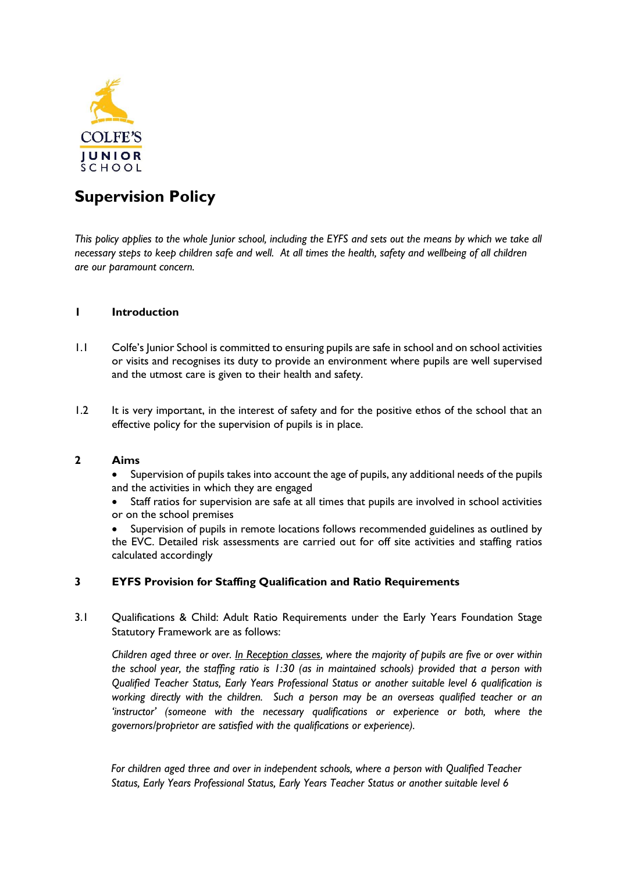

# **Supervision Policy**

*This policy applies to the whole Junior school, including the EYFS and sets out the means by which we take all necessary steps to keep children safe and well. At all times the health, safety and wellbeing of all children are our paramount concern.*

# **1 Introduction**

- 1.1 Colfe's Junior School is committed to ensuring pupils are safe in school and on school activities or visits and recognises its duty to provide an environment where pupils are well supervised and the utmost care is given to their health and safety.
- 1.2 It is very important, in the interest of safety and for the positive ethos of the school that an effective policy for the supervision of pupils is in place.

# **2 Aims**

- Supervision of pupils takes into account the age of pupils, any additional needs of the pupils and the activities in which they are engaged
- Staff ratios for supervision are safe at all times that pupils are involved in school activities or on the school premises
- Supervision of pupils in remote locations follows recommended guidelines as outlined by the EVC. Detailed risk assessments are carried out for off site activities and staffing ratios calculated accordingly

# **3 EYFS Provision for Staffing Qualification and Ratio Requirements**

3.1 Qualifications & Child: Adult Ratio Requirements under the Early Years Foundation Stage Statutory Framework are as follows:

*Children aged three or over. In Reception classes, where the majority of pupils are five or over within the school year, the staffing ratio is 1:30 (as in maintained schools) provided that a person with Qualified Teacher Status, Early Years Professional Status or another suitable level 6 qualification is working directly with the children. Such a person may be an overseas qualified teacher or an 'instructor' (someone with the necessary qualifications or experience or both, where the governors/proprietor are satisfied with the qualifications or experience).* 

*For children aged three and over in independent schools, where a person with Qualified Teacher Status, Early Years Professional Status, Early Years Teacher Status or another suitable level 6*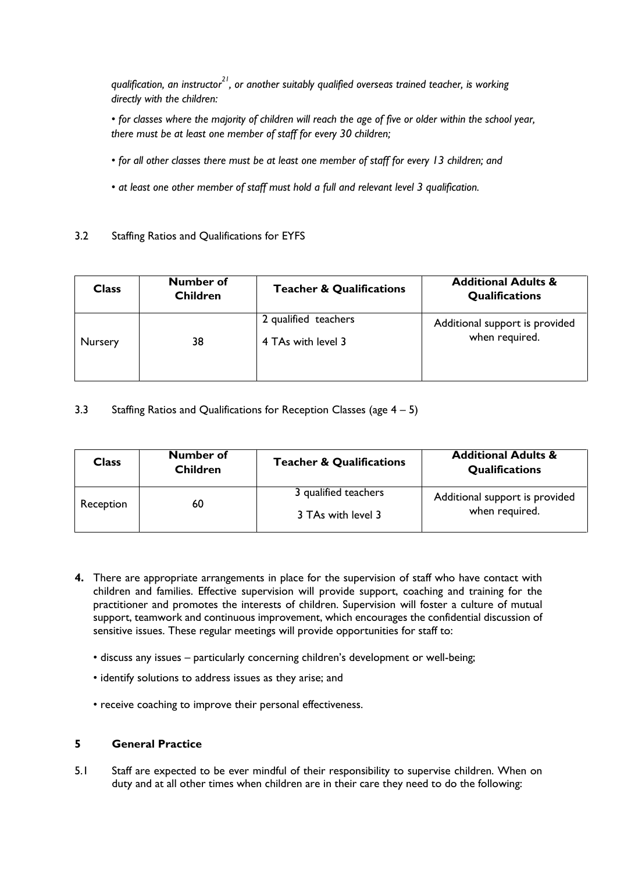*qualification, an instructor<sup>21</sup>, or another suitably qualified overseas trained teacher, is working directly with the children:* 

*• for classes where the majority of children will reach the age of five or older within the school year, there must be at least one member of staff for every 30 children;* 

- *for all other classes there must be at least one member of staff for every 13 children; and*
- *at least one other member of staff must hold a full and relevant level 3 qualification.*

# 3.2 Staffing Ratios and Qualifications for EYFS

| <b>Class</b> | Number of<br><b>Children</b> | <b>Teacher &amp; Qualifications</b>        | <b>Additional Adults &amp;</b><br><b>Qualifications</b> |
|--------------|------------------------------|--------------------------------------------|---------------------------------------------------------|
| Nursery      | 38                           | 2 qualified teachers<br>4 TAs with level 3 | Additional support is provided<br>when required.        |
|              |                              |                                            |                                                         |

# 3.3 Staffing Ratios and Qualifications for Reception Classes (age 4 – 5)

| Class     | Number of<br><b>Children</b> | <b>Teacher &amp; Qualifications</b> | <b>Additional Adults &amp;</b><br><b>Qualifications</b> |
|-----------|------------------------------|-------------------------------------|---------------------------------------------------------|
| Reception | 60                           | 3 qualified teachers                | Additional support is provided<br>when required.        |
|           |                              | 3 TAs with level 3                  |                                                         |

- **4.** There are appropriate arrangements in place for the supervision of staff who have contact with children and families. Effective supervision will provide support, coaching and training for the practitioner and promotes the interests of children. Supervision will foster a culture of mutual support, teamwork and continuous improvement, which encourages the confidential discussion of sensitive issues. These regular meetings will provide opportunities for staff to:
	- discuss any issues particularly concerning children's development or well-being;
	- identify solutions to address issues as they arise; and
	- receive coaching to improve their personal effectiveness.

# **5 General Practice**

5.1 Staff are expected to be ever mindful of their responsibility to supervise children. When on duty and at all other times when children are in their care they need to do the following: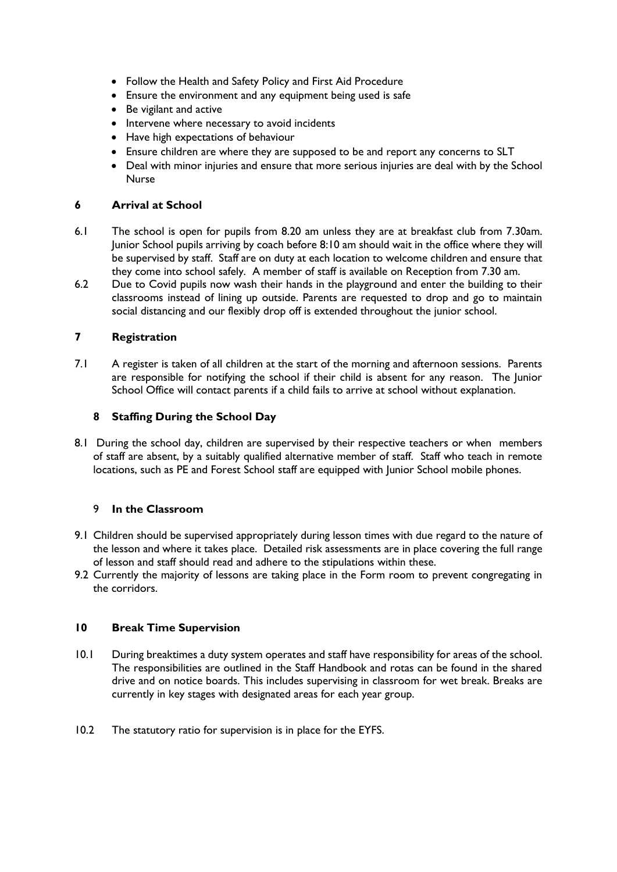- Follow the Health and Safety Policy and First Aid Procedure
- Ensure the environment and any equipment being used is safe
- Be vigilant and active
- Intervene where necessary to avoid incidents
- Have high expectations of behaviour
- Ensure children are where they are supposed to be and report any concerns to SLT
- Deal with minor injuries and ensure that more serious injuries are deal with by the School Nurse

#### **6 Arrival at School**

- 6.1 The school is open for pupils from 8.20 am unless they are at breakfast club from 7.30am. Junior School pupils arriving by coach before 8:10 am should wait in the office where they will be supervised by staff. Staff are on duty at each location to welcome children and ensure that they come into school safely. A member of staff is available on Reception from 7.30 am.
- 6.2 Due to Covid pupils now wash their hands in the playground and enter the building to their classrooms instead of lining up outside. Parents are requested to drop and go to maintain social distancing and our flexibly drop off is extended throughout the junior school.

# **7 Registration**

7.1 A register is taken of all children at the start of the morning and afternoon sessions. Parents are responsible for notifying the school if their child is absent for any reason. The Junior School Office will contact parents if a child fails to arrive at school without explanation.

## **8 Staffing During the School Day**

8.1 During the school day, children are supervised by their respective teachers or when members of staff are absent, by a suitably qualified alternative member of staff. Staff who teach in remote locations, such as PE and Forest School staff are equipped with Junior School mobile phones.

#### 9 **In the Classroom**

- 9.1 Children should be supervised appropriately during lesson times with due regard to the nature of the lesson and where it takes place. Detailed risk assessments are in place covering the full range of lesson and staff should read and adhere to the stipulations within these.
- 9.2 Currently the majority of lessons are taking place in the Form room to prevent congregating in the corridors.

#### **10 Break Time Supervision**

- 10.1 During breaktimes a duty system operates and staff have responsibility for areas of the school. The responsibilities are outlined in the Staff Handbook and rotas can be found in the shared drive and on notice boards. This includes supervising in classroom for wet break. Breaks are currently in key stages with designated areas for each year group.
- 10.2 The statutory ratio for supervision is in place for the EYFS.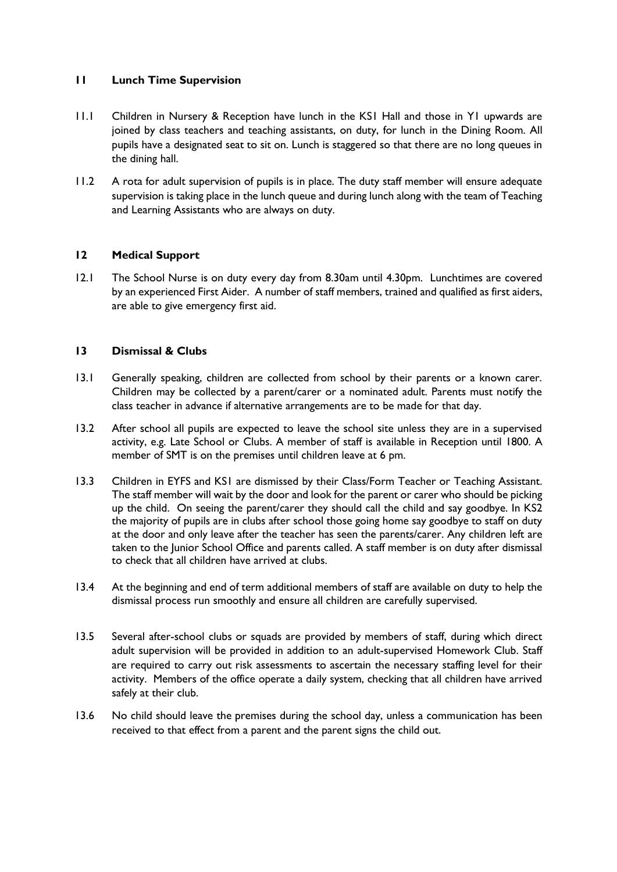# **11 Lunch Time Supervision**

- 11.1 Children in Nursery & Reception have lunch in the KS1 Hall and those in Y1 upwards are joined by class teachers and teaching assistants, on duty, for lunch in the Dining Room. All pupils have a designated seat to sit on. Lunch is staggered so that there are no long queues in the dining hall.
- 11.2 A rota for adult supervision of pupils is in place. The duty staff member will ensure adequate supervision is taking place in the lunch queue and during lunch along with the team of Teaching and Learning Assistants who are always on duty.

# **12 Medical Support**

12.1 The School Nurse is on duty every day from 8.30am until 4.30pm. Lunchtimes are covered by an experienced First Aider. A number of staff members, trained and qualified as first aiders, are able to give emergency first aid.

## **13 Dismissal & Clubs**

- 13.1 Generally speaking, children are collected from school by their parents or a known carer. Children may be collected by a parent/carer or a nominated adult. Parents must notify the class teacher in advance if alternative arrangements are to be made for that day.
- 13.2 After school all pupils are expected to leave the school site unless they are in a supervised activity, e.g. Late School or Clubs. A member of staff is available in Reception until 1800. A member of SMT is on the premises until children leave at 6 pm.
- 13.3 Children in EYFS and KS1 are dismissed by their Class/Form Teacher or Teaching Assistant. The staff member will wait by the door and look for the parent or carer who should be picking up the child. On seeing the parent/carer they should call the child and say goodbye. In KS2 the majority of pupils are in clubs after school those going home say goodbye to staff on duty at the door and only leave after the teacher has seen the parents/carer. Any children left are taken to the Junior School Office and parents called. A staff member is on duty after dismissal to check that all children have arrived at clubs.
- 13.4 At the beginning and end of term additional members of staff are available on duty to help the dismissal process run smoothly and ensure all children are carefully supervised.
- 13.5 Several after-school clubs or squads are provided by members of staff, during which direct adult supervision will be provided in addition to an adult-supervised Homework Club. Staff are required to carry out risk assessments to ascertain the necessary staffing level for their activity. Members of the office operate a daily system, checking that all children have arrived safely at their club.
- 13.6 No child should leave the premises during the school day, unless a communication has been received to that effect from a parent and the parent signs the child out.